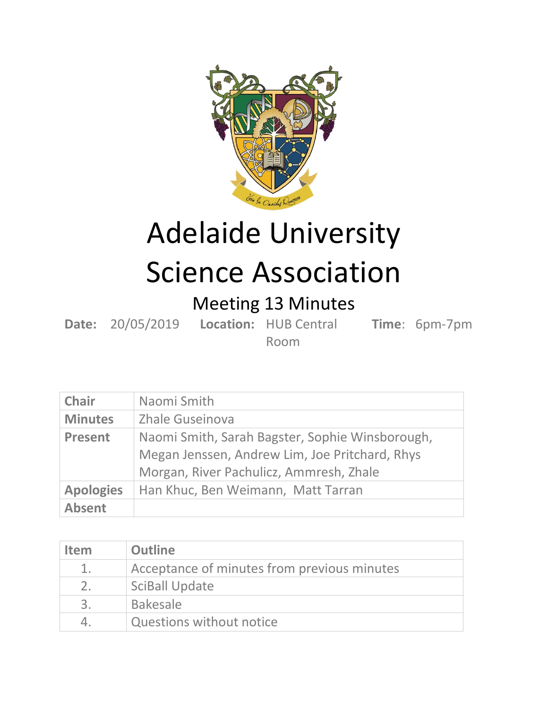

## Adelaide University Science Association

## Meeting 13 Minutes

**Date:** 20/05/2019 **Location:** HUB Central **Time**: 6pm-7pm

Room

| <b>Chair</b>     | Naomi Smith                                                                                                                                  |
|------------------|----------------------------------------------------------------------------------------------------------------------------------------------|
| <b>Minutes</b>   | <b>Zhale Guseinova</b>                                                                                                                       |
| <b>Present</b>   | Naomi Smith, Sarah Bagster, Sophie Winsborough,<br>Megan Jenssen, Andrew Lim, Joe Pritchard, Rhys<br>Morgan, River Pachulicz, Ammresh, Zhale |
| <b>Apologies</b> | Han Khuc, Ben Weimann, Matt Tarran                                                                                                           |
| <b>Absent</b>    |                                                                                                                                              |

| <b>Item</b>    | <b>Outline</b>                              |
|----------------|---------------------------------------------|
| $\mathbf{1}$ . | Acceptance of minutes from previous minutes |
| 2.             | <b>SciBall Update</b>                       |
| 3.             | <b>Bakesale</b>                             |
| 4.             | <b>Questions without notice</b>             |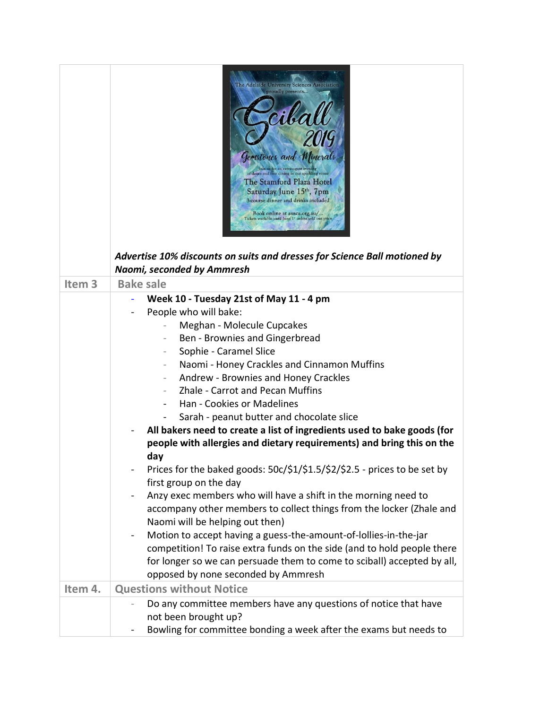|                   | The Adelaide University Sciences Association<br>proudly presents<br>Gemstones and M<br>Join us for an extravagant event<br>of dance and fine dining in our sparkling venue<br>The Stamford Plaza Hotel<br>Saturday June 15 <sup>th</sup> , 7pm<br>3-course dinner and drinks included<br>Book online at ausca.org.au/<br>Tickets available until June 1" unless sold out prior<br>Advertise 10% discounts on suits and dresses for Science Ball motioned by<br>Naomi, seconded by Ammresh                                                                                                                                                                                                                                                                                                                                                                                                                                                                                                                                                                                               |
|-------------------|-----------------------------------------------------------------------------------------------------------------------------------------------------------------------------------------------------------------------------------------------------------------------------------------------------------------------------------------------------------------------------------------------------------------------------------------------------------------------------------------------------------------------------------------------------------------------------------------------------------------------------------------------------------------------------------------------------------------------------------------------------------------------------------------------------------------------------------------------------------------------------------------------------------------------------------------------------------------------------------------------------------------------------------------------------------------------------------------|
| Item <sub>3</sub> | <b>Bake sale</b>                                                                                                                                                                                                                                                                                                                                                                                                                                                                                                                                                                                                                                                                                                                                                                                                                                                                                                                                                                                                                                                                        |
|                   | Week 10 - Tuesday 21st of May 11 - 4 pm<br>People who will bake:<br>Meghan - Molecule Cupcakes<br>Ben - Brownies and Gingerbread<br>Sophie - Caramel Slice<br>Naomi - Honey Crackles and Cinnamon Muffins<br>Andrew - Brownies and Honey Crackles<br><b>Zhale - Carrot and Pecan Muffins</b><br>Han - Cookies or Madelines<br>Sarah - peanut butter and chocolate slice<br>All bakers need to create a list of ingredients used to bake goods (for<br>people with allergies and dietary requirements) and bring this on the<br>day<br>Prices for the baked goods: 50c/\$1/\$1.5/\$2/\$2.5 - prices to be set by<br>first group on the day<br>Anzy exec members who will have a shift in the morning need to<br>accompany other members to collect things from the locker (Zhale and<br>Naomi will be helping out then)<br>Motion to accept having a guess-the-amount-of-lollies-in-the-jar<br>competition! To raise extra funds on the side (and to hold people there<br>for longer so we can persuade them to come to sciball) accepted by all,<br>opposed by none seconded by Ammresh |
| Item 4.           | <b>Questions without Notice</b>                                                                                                                                                                                                                                                                                                                                                                                                                                                                                                                                                                                                                                                                                                                                                                                                                                                                                                                                                                                                                                                         |
|                   | Do any committee members have any questions of notice that have<br>not been brought up?<br>Bowling for committee bonding a week after the exams but needs to                                                                                                                                                                                                                                                                                                                                                                                                                                                                                                                                                                                                                                                                                                                                                                                                                                                                                                                            |